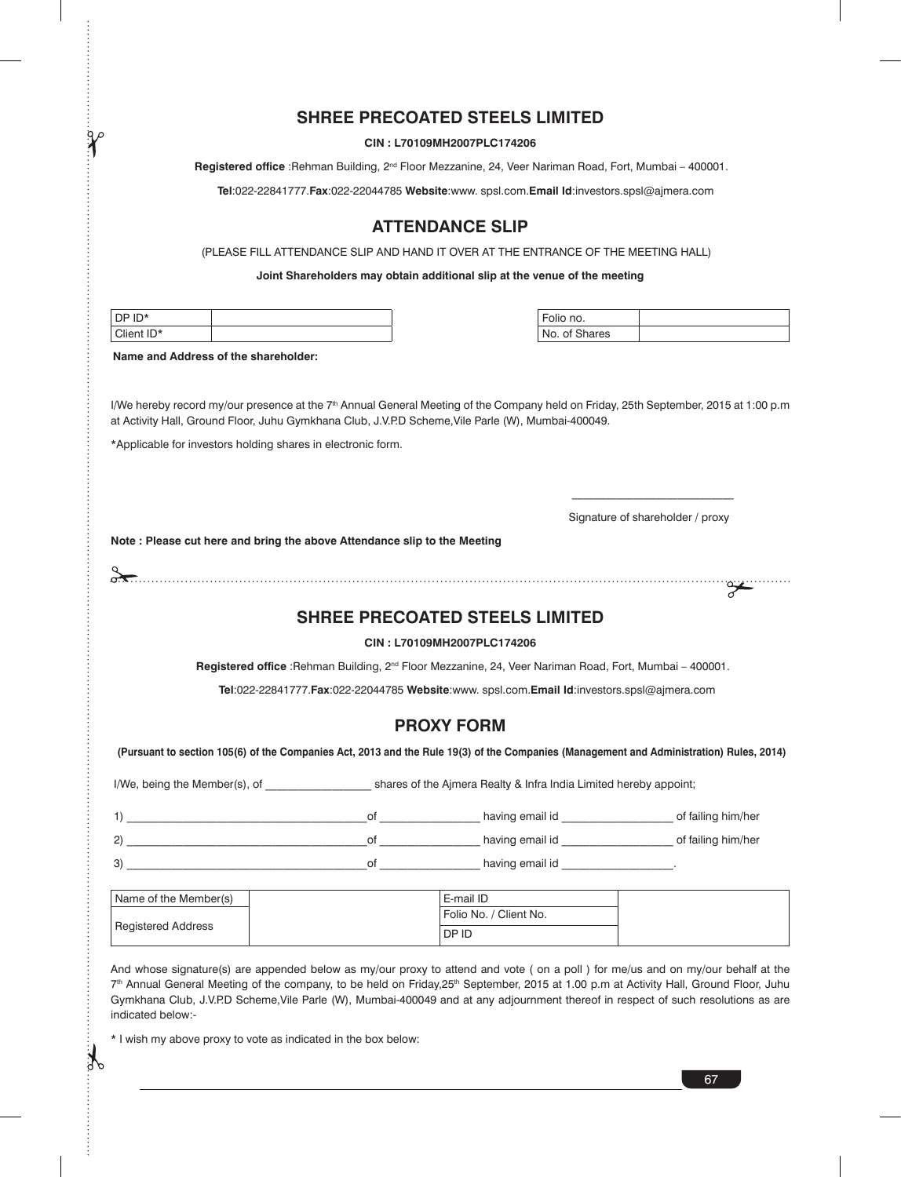### **SHREE PRECOATED STEELS LIMITED**

#### **CIN : L70109MH2007PLC174206**

 **Registered office** :Rehman Building, 2nd Floor Mezzanine, 24, Veer Nariman Road, Fort, Mumbai – 400001.

**Tel**:022-22841777.**Fax**:022-22044785 **Website**:www. spsl.com.**Email Id**:investors.spsl@ajmera.com

# **ATTENDANCE SLIP**

(PLEASE FILL ATTENDANCE SLIP AND HAND IT OVER AT THE ENTRANCE OF THE MEETING HALL)

**Joint Shareholders may obtain additional slip at the venue of the meeting**

| $In*$<br><sub>I</sub> DP<br>∼ |  | $ -$<br>Folio no. |
|-------------------------------|--|-------------------|
| Client ID*                    |  | No. of Shares     |

| n nn        |  |
|-------------|--|
| ∩f<br>arres |  |

**Name and Address of the shareholder:**

 $\gamma$ 

I/We hereby record my/our presence at the 7<sup>th</sup> Annual General Meeting of the Company held on Friday, 25th September, 2015 at 1:00 p.m at Activity Hall, Ground Floor, Juhu Gymkhana Club, J.V.P.D Scheme,Vile Parle (W), Mumbai-400049.

\*Applicable for investors holding shares in electronic form.

 $\frac{1}{\sqrt{2}}$  ,  $\frac{1}{\sqrt{2}}$  ,  $\frac{1}{\sqrt{2}}$  ,  $\frac{1}{\sqrt{2}}$  ,  $\frac{1}{\sqrt{2}}$  ,  $\frac{1}{\sqrt{2}}$  ,  $\frac{1}{\sqrt{2}}$  ,  $\frac{1}{\sqrt{2}}$  ,  $\frac{1}{\sqrt{2}}$  ,  $\frac{1}{\sqrt{2}}$  ,  $\frac{1}{\sqrt{2}}$  ,  $\frac{1}{\sqrt{2}}$  ,  $\frac{1}{\sqrt{2}}$  ,  $\frac{1}{\sqrt{2}}$  ,  $\frac{1}{\sqrt{2}}$ Signature of shareholder / proxy

**Note : Please cut here and bring the above Attendance slip to the Meeting** 

| . |
|---|
|   |

# **SHREE PRECOATED STEELS LIMITED**

**CIN : L70109MH2007PLC174206**

**Registered office** :Rehman Building, 2<sup>nd</sup> Floor Mezzanine, 24, Veer Nariman Road, Fort, Mumbai – 400001.

**Tel**:022-22841777.**Fax**:022-22044785 **Website**:www. spsl.com.**Email Id**:investors.spsl@ajmera.com

#### **PROXY FORM**

 **(Pursuant to section 105(6) of the Companies Act, 2013 and the Rule 19(3) of the Companies (Management and Administration) Rules, 2014)**

I/We, being the Member(s), of \_\_\_\_\_\_\_\_\_\_\_\_\_\_\_\_\_\_\_\_\_\_ shares of the Ajmera Realty & Infra India Limited hereby appoint;

| $\bigcup$ | nt | having email id | of failing him/her |
|-----------|----|-----------------|--------------------|
| (2)       | nt | having email id | of failing him/her |
| 3)        | nt | having email id |                    |

| Name of the Member(s) | E-mail ID              |  |
|-----------------------|------------------------|--|
| Registered Address    | Folio No. / Client No. |  |
|                       | DP ID                  |  |

And whose signature(s) are appended below as my/our proxy to attend and vote (on a poll) for me/us and on my/our behalf at the 7<sup>th</sup> Annual General Meeting of the company, to be held on Friday,25<sup>th</sup> September, 2015 at 1.00 p.m at Activity Hall, Ground Floor, Juhu Gymkhana Club, J.V.P.D Scheme,Vile Parle (W), Mumbai-400049 and at any adjournment thereof in respect of such resolutions as are indicated below:-

\* I wish my above proxy to vote as indicated in the box below:

 $\sum_{i=1}^{\infty}$